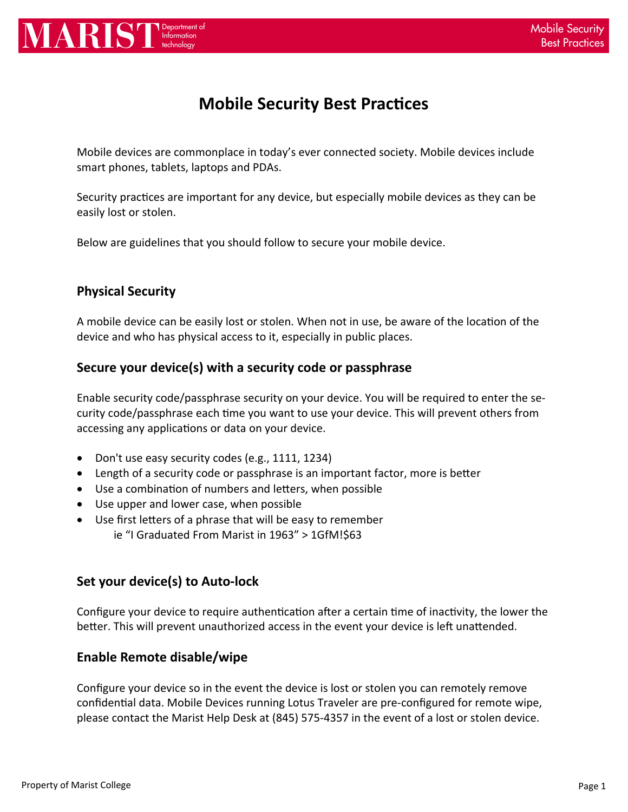

# **Mobile Security Best Practices**

Mobile devices are commonplace in today's ever connected society. Mobile devices include smart phones, tablets, laptops and PDAs.

Security practices are important for any device, but especially mobile devices as they can be easily lost or stolen.

Below are guidelines that you should follow to secure your mobile device.

# **Physical Security**

A mobile device can be easily lost or stolen. When not in use, be aware of the location of the device and who has physical access to it, especially in public places.

## **Secure your device(s) with a security code or passphrase**

Enable security code/passphrase security on your device. You will be required to enter the se‐ curity code/passphrase each time you want to use your device. This will prevent others from accessing any applications or data on your device.

- Don't use easy security codes (e.g., 1111, 1234)
- Length of a security code or passphrase is an important factor, more is better
- Use a combination of numbers and letters, when possible
- Use upper and lower case, when possible
- Use first letters of a phrase that will be easy to remember ie "I Graduated From Marist in 1963" > 1GfM!\$63

## **Set your device(s) to Auto‐lock**

Configure your device to require authentication after a certain time of inactivity, the lower the better. This will prevent unauthorized access in the event your device is left unattended.

## **Enable Remote disable/wipe**

Configure your device so in the event the device is lost or stolen you can remotely remove confidential data. Mobile Devices running Lotus Traveler are pre-configured for remote wipe, please contact the Marist Help Desk at (845) 575‐4357 in the event of a lost or stolen device.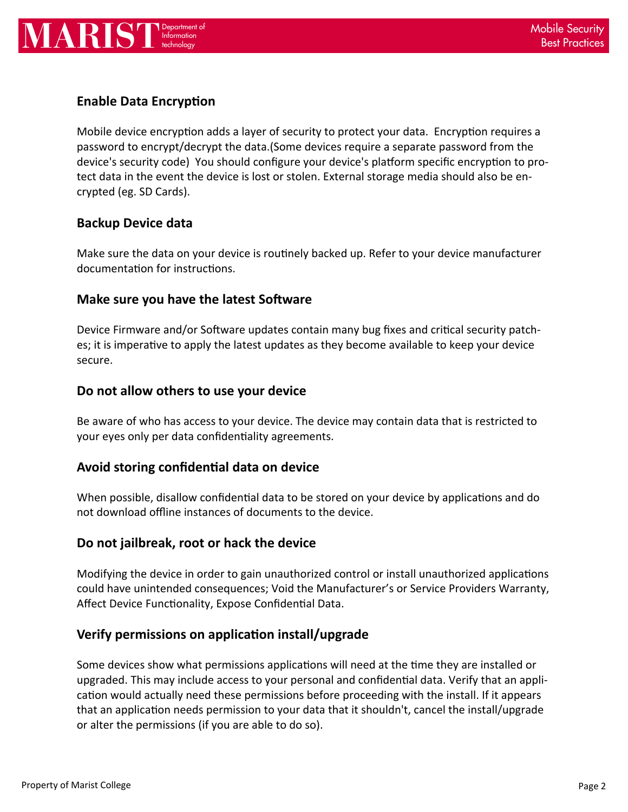

# **Enable Data Encryption**

Mobile device encryption adds a layer of security to protect your data. Encryption requires a password to encrypt/decrypt the data.(Some devices require a separate password from the device's security code) You should configure your device's platform specific encryption to protect data in the event the device is lost or stolen. External storage media should also be en‐ crypted (eg. SD Cards).

#### **Backup Device data**

Make sure the data on your device is routinely backed up. Refer to your device manufacturer documentation for instructions.

#### **Make sure you have the latest Software**

Device Firmware and/or Software updates contain many bug fixes and critical security patches; it is imperative to apply the latest updates as they become available to keep your device secure.

#### **Do not allow others to use your device**

Be aware of who has access to your device. The device may contain data that is restricted to your eyes only per data confidentiality agreements.

## **Avoid storing confidenƟal data on device**

When possible, disallow confidential data to be stored on your device by applications and do not download offline instances of documents to the device.

#### **Do not jailbreak, root or hack the device**

Modifying the device in order to gain unauthorized control or install unauthorized applications could have unintended consequences; Void the Manufacturer's or Service Providers Warranty, Affect Device Functionality, Expose Confidential Data.

## **Verify permissions on applicaƟon install/upgrade**

Some devices show what permissions applications will need at the time they are installed or upgraded. This may include access to your personal and confidential data. Verify that an application would actually need these permissions before proceeding with the install. If it appears that an application needs permission to your data that it shouldn't, cancel the install/upgrade or alter the permissions (if you are able to do so).